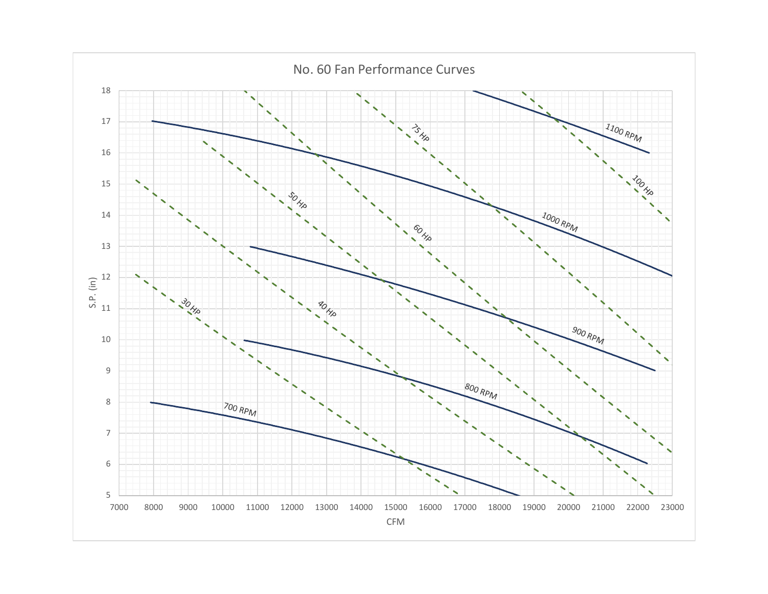